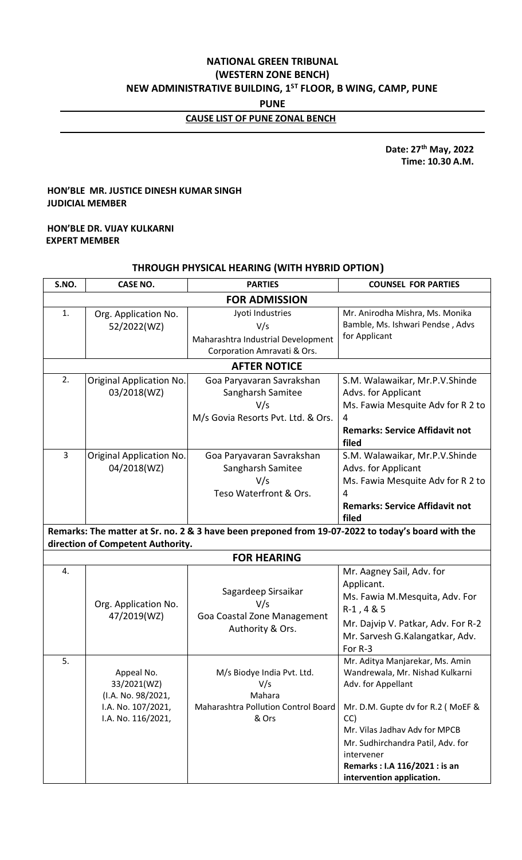# **NATIONAL GREEN TRIBUNAL (WESTERN ZONE BENCH) NEW ADMINISTRATIVE BUILDING, 1ST FLOOR, B WING, CAMP, PUNE**

**PUNE**

# **CAUSE LIST OF PUNE ZONAL BENCH**

 **Date: 27th May, 2022 Time: 10.30 A.M.**

## **HON'BLE MR. JUSTICE DINESH KUMAR SINGH JUDICIAL MEMBER**

## **HON'BLE DR. VIJAY KULKARNI EXPERT MEMBER**

## **THROUGH PHYSICAL HEARING (WITH HYBRID OPTION)**

| S.NO.                                                                                                                                  | <b>CASE NO.</b>                                                                             | <b>PARTIES</b>                                                                               | <b>COUNSEL FOR PARTIES</b>                                                                                                                                                                                                                                                            |  |  |  |
|----------------------------------------------------------------------------------------------------------------------------------------|---------------------------------------------------------------------------------------------|----------------------------------------------------------------------------------------------|---------------------------------------------------------------------------------------------------------------------------------------------------------------------------------------------------------------------------------------------------------------------------------------|--|--|--|
| <b>FOR ADMISSION</b>                                                                                                                   |                                                                                             |                                                                                              |                                                                                                                                                                                                                                                                                       |  |  |  |
| 1.                                                                                                                                     | Org. Application No.<br>52/2022(WZ)                                                         | Jyoti Industries<br>V/s<br>Maharashtra Industrial Development<br>Corporation Amravati & Ors. | Mr. Anirodha Mishra, Ms. Monika<br>Bamble, Ms. Ishwari Pendse, Advs<br>for Applicant                                                                                                                                                                                                  |  |  |  |
| <b>AFTER NOTICE</b>                                                                                                                    |                                                                                             |                                                                                              |                                                                                                                                                                                                                                                                                       |  |  |  |
| 2.                                                                                                                                     | Original Application No.<br>03/2018(WZ)                                                     | Goa Paryavaran Savrakshan<br>Sangharsh Samitee<br>V/s<br>M/s Govia Resorts Pvt. Ltd. & Ors.  | S.M. Walawaikar, Mr.P.V.Shinde<br>Advs. for Applicant<br>Ms. Fawia Mesquite Adv for R 2 to<br>4<br><b>Remarks: Service Affidavit not</b><br>filed                                                                                                                                     |  |  |  |
| 3                                                                                                                                      | Original Application No.<br>04/2018(WZ)                                                     | Goa Paryavaran Savrakshan<br>Sangharsh Samitee<br>V/s<br>Teso Waterfront & Ors.              | S.M. Walawaikar, Mr.P.V.Shinde<br>Advs. for Applicant<br>Ms. Fawia Mesquite Adv for R 2 to<br>4<br><b>Remarks: Service Affidavit not</b><br>filed                                                                                                                                     |  |  |  |
| Remarks: The matter at Sr. no. 2 & 3 have been preponed from 19-07-2022 to today's board with the<br>direction of Competent Authority. |                                                                                             |                                                                                              |                                                                                                                                                                                                                                                                                       |  |  |  |
| <b>FOR HEARING</b>                                                                                                                     |                                                                                             |                                                                                              |                                                                                                                                                                                                                                                                                       |  |  |  |
| 4.                                                                                                                                     | Org. Application No.<br>47/2019(WZ)                                                         | Sagardeep Sirsaikar<br>V/s<br>Goa Coastal Zone Management<br>Authority & Ors.                | Mr. Aagney Sail, Adv. for<br>Applicant.<br>Ms. Fawia M.Mesquita, Adv. For<br>$R-1, 4 & 5$<br>Mr. Dajvip V. Patkar, Adv. For R-2<br>Mr. Sarvesh G.Kalangatkar, Adv.<br>For R-3                                                                                                         |  |  |  |
| 5.                                                                                                                                     | Appeal No.<br>33/2021(WZ)<br>(I.A. No. 98/2021,<br>I.A. No. 107/2021,<br>I.A. No. 116/2021, | M/s Biodye India Pvt. Ltd.<br>V/s<br>Mahara<br>Maharashtra Pollution Control Board<br>& Ors  | Mr. Aditya Manjarekar, Ms. Amin<br>Wandrewala, Mr. Nishad Kulkarni<br>Adv. for Appellant<br>Mr. D.M. Gupte dv for R.2 (MoEF &<br>CC)<br>Mr. Vilas Jadhav Adv for MPCB<br>Mr. Sudhirchandra Patil, Adv. for<br>intervener<br>Remarks: I.A 116/2021: is an<br>intervention application. |  |  |  |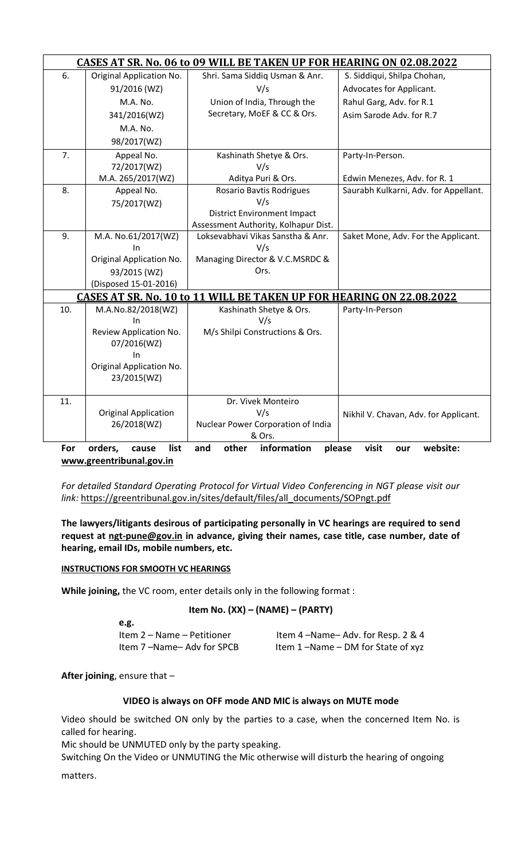| <b>CASES AT SR. No. 06 to 09 WILL BE TAKEN UP FOR HEARING ON 02.08.2022</b>                          |                             |                                      |                                       |  |  |
|------------------------------------------------------------------------------------------------------|-----------------------------|--------------------------------------|---------------------------------------|--|--|
| 6.                                                                                                   | Original Application No.    | Shri. Sama Siddiq Usman & Anr.       | S. Siddiqui, Shilpa Chohan,           |  |  |
|                                                                                                      | 91/2016 (WZ)                | V/s                                  | Advocates for Applicant.              |  |  |
|                                                                                                      | M.A. No.                    | Union of India, Through the          | Rahul Garg, Adv. for R.1              |  |  |
|                                                                                                      | 341/2016(WZ)                | Secretary, MoEF & CC & Ors.          | Asim Sarode Adv. for R.7              |  |  |
|                                                                                                      | M.A. No.                    |                                      |                                       |  |  |
|                                                                                                      | 98/2017(WZ)                 |                                      |                                       |  |  |
| 7.                                                                                                   | Appeal No.                  | Kashinath Shetye & Ors.              | Party-In-Person.                      |  |  |
|                                                                                                      | 72/2017(WZ)                 | V/s                                  |                                       |  |  |
|                                                                                                      | M.A. 265/2017(WZ)           | Aditya Puri & Ors.                   | Edwin Menezes, Adv. for R. 1          |  |  |
| 8.                                                                                                   | Appeal No.                  | Rosario Bavtis Rodrigues             | Saurabh Kulkarni, Adv. for Appellant. |  |  |
|                                                                                                      | 75/2017(WZ)                 | V/s                                  |                                       |  |  |
|                                                                                                      |                             | <b>District Environment Impact</b>   |                                       |  |  |
|                                                                                                      |                             | Assessment Authority, Kolhapur Dist. |                                       |  |  |
| 9.                                                                                                   | M.A. No.61/2017(WZ)         | Loksevabhavi Vikas Sanstha & Anr.    | Saket Mone, Adv. For the Applicant.   |  |  |
|                                                                                                      | In                          | V/s                                  |                                       |  |  |
|                                                                                                      | Original Application No.    | Managing Director & V.C.MSRDC &      |                                       |  |  |
|                                                                                                      | 93/2015 (WZ)                | Ors.                                 |                                       |  |  |
|                                                                                                      | (Disposed 15-01-2016)       |                                      |                                       |  |  |
| <b>CASES AT SR. No. 10 to 11 WILL BE TAKEN UP FOR HEARING ON 22.08.2022</b>                          |                             |                                      |                                       |  |  |
| 10.                                                                                                  | M.A.No.82/2018(WZ)          | Kashinath Shetye & Ors.              | Party-In-Person                       |  |  |
|                                                                                                      | In                          | V/s                                  |                                       |  |  |
|                                                                                                      | Review Application No.      | M/s Shilpi Constructions & Ors.      |                                       |  |  |
|                                                                                                      | 07/2016(WZ)                 |                                      |                                       |  |  |
|                                                                                                      | In                          |                                      |                                       |  |  |
|                                                                                                      | Original Application No.    |                                      |                                       |  |  |
|                                                                                                      | 23/2015(WZ)                 |                                      |                                       |  |  |
| 11.                                                                                                  |                             | Dr. Vivek Monteiro                   |                                       |  |  |
|                                                                                                      | <b>Original Application</b> | V/s                                  | Nikhil V. Chavan, Adv. for Applicant. |  |  |
|                                                                                                      | 26/2018(WZ)                 | Nuclear Power Corporation of India   |                                       |  |  |
|                                                                                                      |                             | & Ors.                               |                                       |  |  |
| information<br>other<br>For<br>orders,<br>list<br>and<br>please<br>visit<br>website:<br>cause<br>our |                             |                                      |                                       |  |  |
| www.greentribunal.gov.in                                                                             |                             |                                      |                                       |  |  |

*For detailed Standard Operating Protocol for Virtual Video Conferencing in NGT please visit our link:* [https://greentribunal.gov.in/sites/default/files/all\\_documents/SOPngt.pdf](https://greentribunal.gov.in/sites/default/files/all_documents/SOPngt.pdf)

**The lawyers/litigants desirous of participating personally in VC hearings are required to send request at [ngt-pune@gov.in](mailto:ngt-pune@gov.in) in advance, giving their names, case title, case number, date of hearing, email IDs, mobile numbers, etc.**

#### **INSTRUCTIONS FOR SMOOTH VC HEARINGS**

**While joining,** the VC room, enter details only in the following format :

#### **Item No. (XX) – (NAME) – (PARTY)**

| e.g.                       |                                   |
|----------------------------|-----------------------------------|
| Item 2 – Name – Petitioner | Item 4-Name-Adv. for Resp. 2 & 4  |
| Item 7-Name-Adv for SPCB   | Item 1-Name - DM for State of xyz |

**After joining**, ensure that –

#### **VIDEO is always on OFF mode AND MIC is always on MUTE mode**

Video should be switched ON only by the parties to a case, when the concerned Item No. is called for hearing.

Mic should be UNMUTED only by the party speaking.

Switching On the Video or UNMUTING the Mic otherwise will disturb the hearing of ongoing

matters.